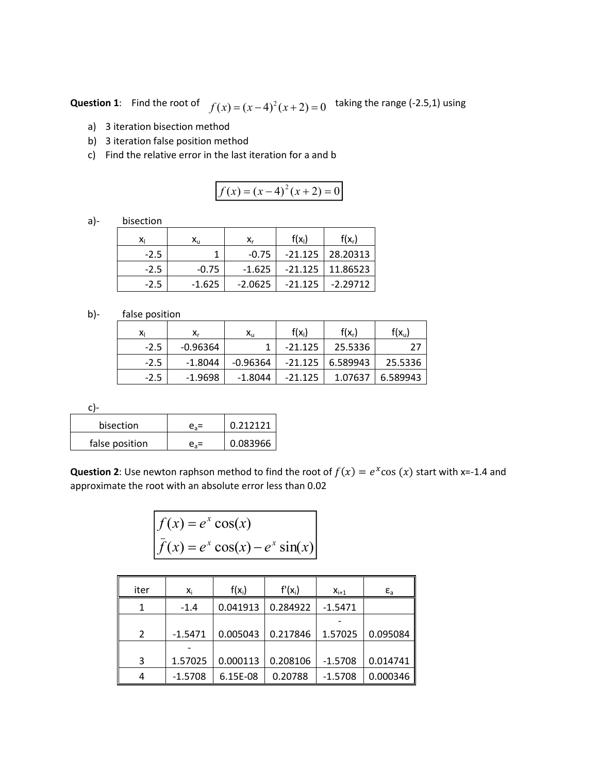**Question 1**: Find the root of  $f(x) = (x-4)^2(x+2) = 0$  taking the range (-2.5,1) using

- a) 3 iteration bisection method
- b) 3 iteration false position method
- c) Find the relative error in the last iteration for a and b

$$
f(x) = (x-4)^2(x+2) = 0
$$

a)- bisection

| Xı     | х,,      | X,        | $f(x_i)$  | $f(x_r)$             |  |
|--------|----------|-----------|-----------|----------------------|--|
| $-2.5$ |          | $-0.75$   |           | $-21.125$   28.20313 |  |
| $-2.5$ | $-0.75$  | $-1.625$  |           | $-21.125$   11.86523 |  |
| $-2.5$ | $-1.625$ | $-2.0625$ | $-21.125$ | $-2.29712$           |  |

## b)- false position

| x      | X,        | $\mathsf{x}_\mathsf{u}$ | $f(x_i)$  | $f(x_r)$ | $f(x_u)$ |
|--------|-----------|-------------------------|-----------|----------|----------|
| $-2.5$ | -0.96364  |                         | $-21.125$ | 25.5336  | 27       |
| $-2.5$ | -1.8044   | -0.96364                | $-21.125$ | 6.589943 | 25.5336  |
| $-2.5$ | $-1.9698$ | -1.8044                 | $-21.125$ | 1.07637  | 6.589943 |

c)-

| bisection      | e.= | 0.212121 |
|----------------|-----|----------|
| false position |     | 0.083966 |

**Question 2**: Use newton raphson method to find the root of  $f(x) = e^x \cos(x)$  start with x=-1.4 and approximate the root with an absolute error less than 0.02

$$
f(x) = ex cos(x)
$$
  

$$
\bar{f}(x) = ex cos(x) - ex sin(x)
$$

| iter | Χi        | $f(x_i)$ | $f'(x_i)$ | $X_{i+1}$ | $\varepsilon_{\rm a}$ |
|------|-----------|----------|-----------|-----------|-----------------------|
|      | $-1.4$    | 0.041913 | 0.284922  | $-1.5471$ |                       |
|      |           |          |           |           |                       |
| 2    | $-1.5471$ | 0.005043 | 0.217846  | 1.57025   | 0.095084              |
|      |           |          |           |           |                       |
| 3    | 1.57025   | 0.000113 | 0.208106  | $-1.5708$ | 0.014741              |
| 4    | $-1.5708$ | 6.15E-08 | 0.20788   | $-1.5708$ | 0.000346              |